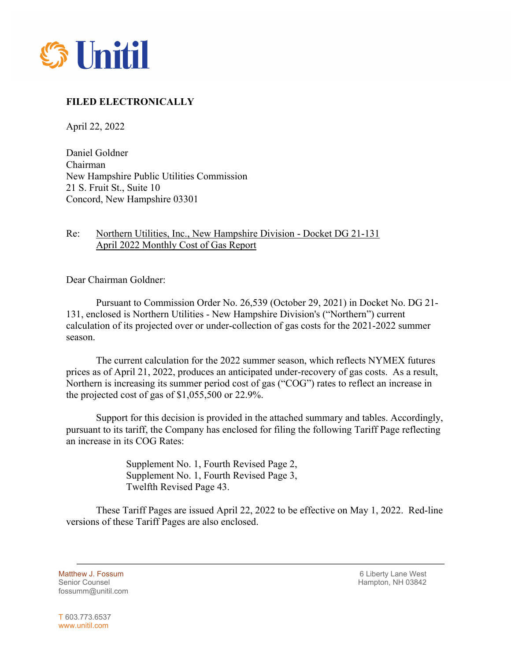

## **FILED ELECTRONICALLY**

April 22, 2022

Daniel Goldner Chairman New Hampshire Public Utilities Commission 21 S. Fruit St., Suite 10 Concord, New Hampshire 03301

## Re: Northern Utilities, Inc., New Hampshire Division - Docket DG 21-131 April 2022 Monthly Cost of Gas Report

Dear Chairman Goldner:

Pursuant to Commission Order No. 26,539 (October 29, 2021) in Docket No. DG 21- 131, enclosed is Northern Utilities - New Hampshire Division's ("Northern") current calculation of its projected over or under-collection of gas costs for the 2021-2022 summer season.

The current calculation for the 2022 summer season, which reflects NYMEX futures prices as of April 21, 2022, produces an anticipated under-recovery of gas costs. As a result, Northern is increasing its summer period cost of gas ("COG") rates to reflect an increase in the projected cost of gas of \$1,055,500 or 22.9%.

Support for this decision is provided in the attached summary and tables. Accordingly, pursuant to its tariff, the Company has enclosed for filing the following Tariff Page reflecting an increase in its COG Rates:

> Supplement No. 1, Fourth Revised Page 2, Supplement No. 1, Fourth Revised Page 3, Twelfth Revised Page 43.

These Tariff Pages are issued April 22, 2022 to be effective on May 1, 2022. Red-line versions of these Tariff Pages are also enclosed.

fossumm@unitil.com

Matthew J. Fossum and the control of the control of the control of the control of the control of the control of the control of the control of the control of the control of the control of the control of the control of the c Hampton, NH 03842

T 603.773.6537 www.unitil.com